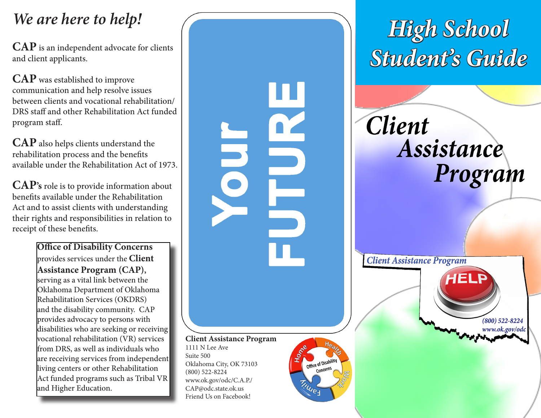## *We are here to help!*

and client applicants.

**CAP** was established to improve communication and help resolve issues between clients and vocational rehabilitation/ DRS staff and other Rehabilitation Act funded program staff.

**CAP** also helps clients understand the rehabilitation process and the benefits available under the Rehabilitation Act of 1973.

**CAP's** role is to provide information about benefits available under the Rehabilitation Act and to assist clients with understanding their rights and responsibilities in relation to receipt of these benefits.

> **Office of Disability Concerns**  provides services under the **Client Assistance Program (CAP),** serving as a vital link between the Oklahoma Department of Oklahoma Rehabilitation Services (OKDRS) and the disability community. CAP provides advocacy to persons with disabilities who are seeking or receiving vocational rehabilitation (VR) services from DRS, as well as individuals who are receiving services from independent living centers or other Rehabilitation Act funded programs such as Tribal VR and Higher Education.

**Client Assistance Program** 1111 N Lee Ave Suite 500 Oklahoma City, OK 73103 (800) 522-8224 www.ok.gov/odc/C.A.P./ CAP@odc.state.ok.us Friend Us on Facebook!

NEO

Office of Disability Concern **INVES** 

*High School*  **CAP** is an independent advocate for clients and client applicants.

> *Client* Assistance Program

**Client Assistance Program** 

 $(800)$  522-8224 www.ok.gov/odc